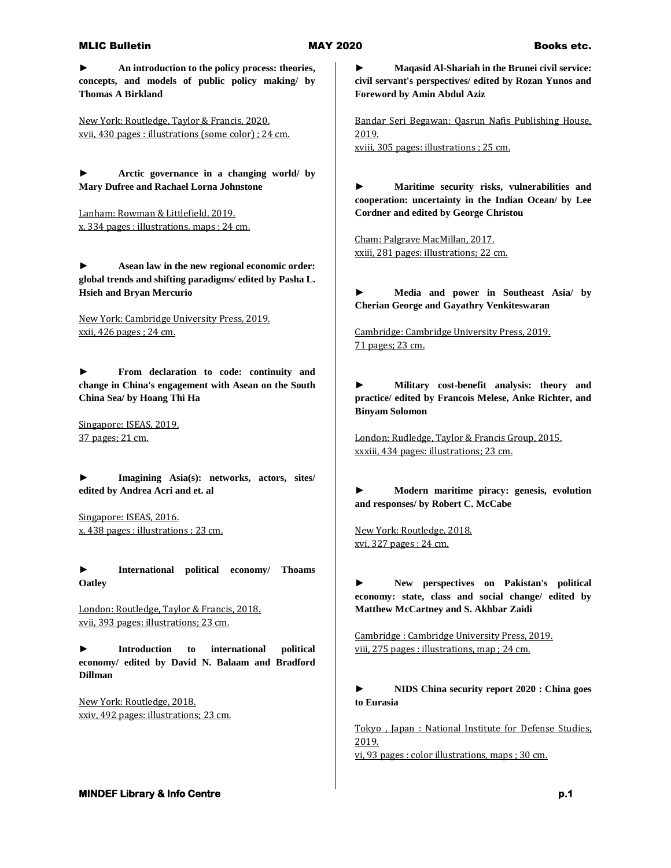## MLIC Bulletin **MAY 2020** Books etc.

**► An introduction to the policy process: theories, concepts, and models of public policy making/ by Thomas A Birkland**

New York: Routledge, Taylor & Francis, 2020. xvii, 430 pages : illustrations (some color) ; 24 cm.

**► Arctic governance in a changing world/ by Mary Dufree and Rachael Lorna Johnstone**

Lanham: Rowman & Littlefield, 2019. x, 334 pages : illustrations, maps ; 24 cm.

**► Asean law in the new regional economic order: global trends and shifting paradigms/ edited by Pasha L. Hsieh and Bryan Mercurio**

New York: Cambridge University Press, 2019. xxii, 426 pages ; 24 cm.

**► From declaration to code: continuity and change in China's engagement with Asean on the South China Sea/ by Hoang Thi Ha**

Singapore: ISEAS, 2019. 37 pages; 21 cm.

**► Imagining Asia(s): networks, actors, sites/ edited by Andrea Acri and et. al**

Singapore: ISEAS, 2016. x, 438 pages : illustrations ; 23 cm.

**► International political economy/ Thoams Oatley**

London: Routledge, Taylor & Francis, 2018. xvii, 393 pages: illustrations; 23 cm.

**► Introduction to international political economy/ edited by David N. Balaam and Bradford Dillman**

New York: Routledge, 2018. xxiv, 492 pages: illustrations; 23 cm.

**► Maqasid Al-Shariah in the Brunei civil service: civil servant's perspectives/ edited by Rozan Yunos and Foreword by Amin Abdul Aziz**

Bandar Seri Begawan: Qasrun Nafis Publishing House, 2019. xviii, 305 pages: illustrations ; 25 cm.

**► Maritime security risks, vulnerabilities and cooperation: uncertainty in the Indian Ocean/ by Lee Cordner and edited by George Christou**

Cham: Palgrave MacMillan, 2017. xxiii, 281 pages: illustrations; 22 cm.

**► Media and power in Southeast Asia/ by Cherian George and Gayathry Venkiteswaran**

Cambridge: Cambridge University Press, 2019. 71 pages; 23 cm.

**► Military cost-benefit analysis: theory and practice/ edited by Francois Melese, Anke Richter, and Binyam Solomon**

London: Rudledge, Taylor & Francis Group, 2015. xxxiii, 434 pages: illustrations; 23 cm.

**► Modern maritime piracy: genesis, evolution and responses/ by Robert C. McCabe**

New York: Routledge, 2018. xvi, 327 pages ; 24 cm.

**► New perspectives on Pakistan's political economy: state, class and social change/ edited by Matthew McCartney and S. Akhbar Zaidi**

Cambridge : Cambridge University Press, 2019. viii, 275 pages : illustrations, map ; 24 cm.

**► NIDS China security report 2020 : China goes to Eurasia**

Tokyo , Japan : National Institute for Defense Studies, 2019.

vi, 93 pages : color illustrations, maps ; 30 cm.

**MINDEF Library & Info Centre p.1** *p.1* **<b>p.1** *p.1*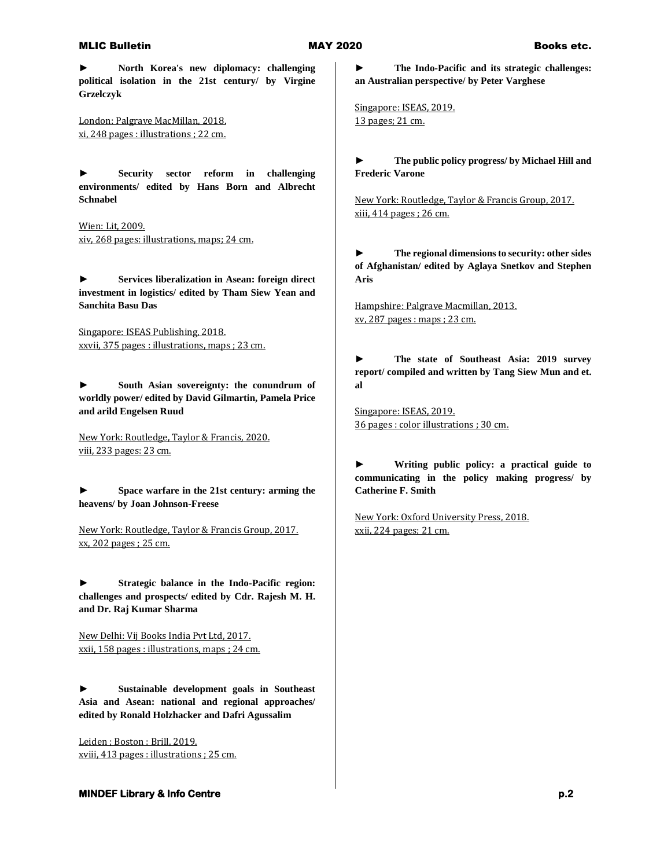## MLIC Bulletin **MAY 2020** Books etc.

**► North Korea's new diplomacy: challenging political isolation in the 21st century/ by Virgine Grzelczyk**

London: Palgrave MacMillan, 2018. xi, 248 pages : illustrations ; 22 cm.

**► Security sector reform in challenging environments/ edited by Hans Born and Albrecht Schnabel**

Wien: Lit, 2009. xiv, 268 pages: illustrations, maps; 24 cm.

**► Services liberalization in Asean: foreign direct investment in logistics/ edited by Tham Siew Yean and Sanchita Basu Das**

Singapore: ISEAS Publishing, 2018. xxvii, 375 pages : illustrations, maps ; 23 cm.

**► South Asian sovereignty: the conundrum of worldly power/ edited by David Gilmartin, Pamela Price and arild Engelsen Ruud**

New York: Routledge, Taylor & Francis, 2020. viii, 233 pages: 23 cm.

**► Space warfare in the 21st century: arming the heavens/ by Joan Johnson-Freese**

New York: Routledge, Taylor & Francis Group, 2017. xx, 202 pages ; 25 cm.

**► Strategic balance in the Indo-Pacific region: challenges and prospects/ edited by Cdr. Rajesh M. H. and Dr. Raj Kumar Sharma**

New Delhi: Vij Books India Pvt Ltd, 2017. xxii, 158 pages : illustrations, maps ; 24 cm.

**► Sustainable development goals in Southeast Asia and Asean: national and regional approaches/ edited by Ronald Holzhacker and Dafri Agussalim**

Leiden ; Boston : Brill, 2019. xviii, 413 pages : illustrations ; 25 cm. **► The Indo-Pacific and its strategic challenges: an Australian perspective/ by Peter Varghese**

Singapore: ISEAS, 2019. 13 pages; 21 cm.

**► The public policy progress/ by Michael Hill and Frederic Varone**

New York: Routledge, Taylor & Francis Group, 2017. xiii, 414 pages ; 26 cm.

**► The regional dimensions to security: other sides of Afghanistan/ edited by Aglaya Snetkov and Stephen Aris**

Hampshire: Palgrave Macmillan, 2013. xv, 287 pages : maps ; 23 cm.

**► The state of Southeast Asia: 2019 survey report/ compiled and written by Tang Siew Mun and et. al**

Singapore: ISEAS, 2019. 36 pages : color illustrations ; 30 cm.

**► Writing public policy: a practical guide to communicating in the policy making progress/ by Catherine F. Smith**

New York: Oxford University Press, 2018. xxii, 224 pages; 21 cm.